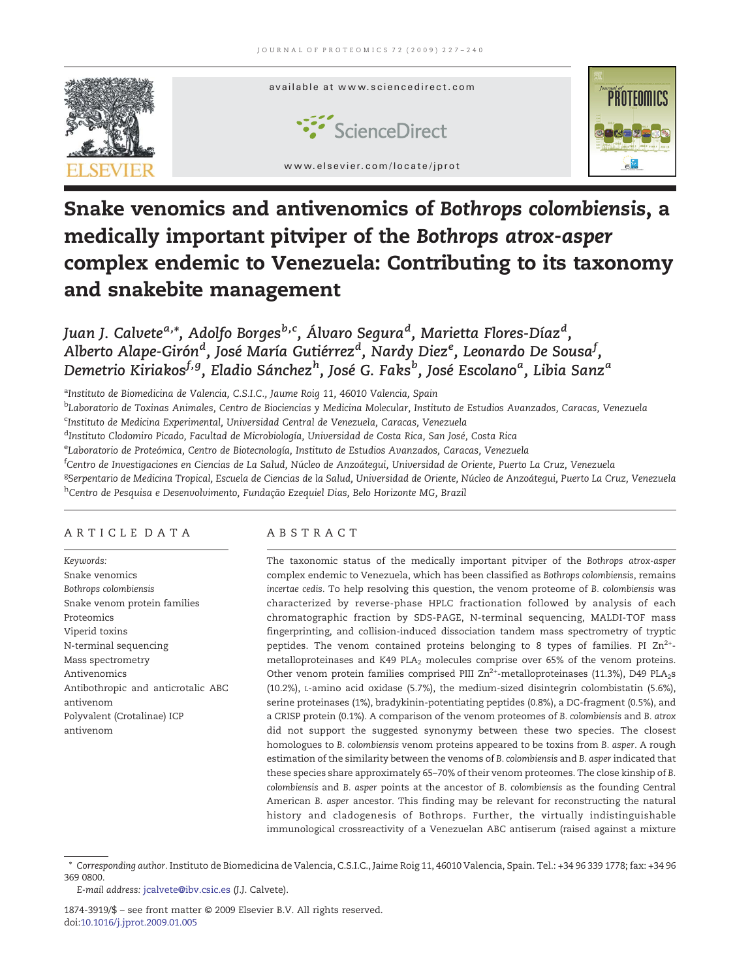

# Snake venomics and antivenomics of Bothrops colombiensis, a medically important pitviper of the Bothrops atrox-asper complex endemic to Venezuela: Contributing to its taxonomy and snakebite management

Juan J. Calvete<sup>a,</sup>\*, Adolfo Borges<sup>b,c</sup>, Álvaro Segura<sup>d</sup>, Marietta Flores-Díaz<sup>d</sup>, Alberto Alape-Girón $^d$ , José María Gutiérrez $^d$ , Nardy Diez $^e$ , Leonardo De Sousa $^f$ , Demetrio Kiriakos<sup>f,g</sup>, Eladio Sánchez<sup>h</sup>, José G. Faks<sup>b</sup>, José Escolano<sup>a</sup>, Libia Sanz<sup>a</sup>

<sup>a</sup>Instituto de Biomedicina de Valencia, C.S.I.C., Jaume Roig 11, 46010 Valencia, Spain

<sup>b</sup>Laboratorio de Toxinas Animales, Centro de Biociencias y Medicina Molecular, Instituto de Estudios Avanzados, Caracas, Venezuela <sup>c</sup>Instituto de Medicina Experimental, Universidad Central de Venezuela, Caracas, Venezuela

<sup>d</sup>Instituto Clodomiro Picado, Facultad de Microbiología, Universidad de Costa Rica, San José, Costa Rica

e Laboratorio de Proteómica, Centro de Biotecnología, Instituto de Estudios Avanzados, Caracas, Venezuela

f Centro de Investigaciones en Ciencias de La Salud, Núcleo de Anzoátegui, Universidad de Oriente, Puerto La Cruz, Venezuela

<sup>g</sup>Serpentario de Medicina Tropical, Escuela de Ciencias de la Salud, Universidad de Oriente, Núcleo de Anzoátegui, Puerto La Cruz, Venezuela <sup>h</sup>Centro de Pesquisa e Desenvolvimento, Fundação Ezequiel Dias, Belo Horizonte MG, Brazil

# ARTICLE DATA ABSTRACT

Keywords: Snake venomics Bothrops colombiensis Snake venom protein families Proteomics Viperid toxins N-terminal sequencing Mass spectrometry Antivenomics Antibothropic and anticrotalic ABC antivenom Polyvalent (Crotalinae) ICP antivenom

The taxonomic status of the medically important pitviper of the Bothrops atrox-asper complex endemic to Venezuela, which has been classified as Bothrops colombiensis, remains incertae cedis. To help resolving this question, the venom proteome of B. colombiensis was characterized by reverse-phase HPLC fractionation followed by analysis of each chromatographic fraction by SDS-PAGE, N-terminal sequencing, MALDI-TOF mass fingerprinting, and collision-induced dissociation tandem mass spectrometry of tryptic peptides. The venom contained proteins belonging to 8 types of families. PI  $Zn^{2+1}$ metalloproteinases and K49 PLA<sub>2</sub> molecules comprise over 65% of the venom proteins. Other venom protein families comprised PIII  $Zn^{2+}$ -metalloproteinases (11.3%), D49 PLA<sub>2</sub>s (10.2%), L-amino acid oxidase (5.7%), the medium-sized disintegrin colombistatin (5.6%), serine proteinases (1%), bradykinin-potentiating peptides (0.8%), a DC-fragment (0.5%), and a CRISP protein (0.1%). A comparison of the venom proteomes of B. colombiensis and B. atrox did not support the suggested synonymy between these two species. The closest homologues to B. colombiensis venom proteins appeared to be toxins from B. asper. A rough estimation of the similarity between the venoms of B. colombiensis and B. asper indicated that these species share approximately 65–70% of their venom proteomes. The close kinship of B. colombiensis and B. asper points at the ancestor of B. colombiensis as the founding Central American B. asper ancestor. This finding may be relevant for reconstructing the natural history and cladogenesis of Bothrops. Further, the virtually indistinguishable immunological crossreactivity of a Venezuelan ABC antiserum (raised against a mixture

<sup>⁎</sup> Corresponding author. Instituto de Biomedicina de Valencia, C.S.I.C., Jaime Roig 11, 46010 Valencia, Spain. Tel.: +34 96 339 1778; fax: +34 96 369 0800.

E-mail address: [jcalvete@ibv.csic.es](mailto:jcalvete@ibv.csic.es) (J.J. Calvete).

<sup>1874-3919/\$</sup> – see front matter © 2009 Elsevier B.V. All rights reserved. doi[:10.1016/j.jprot.2009.01.005](http://dx.doi.org/10.1016/j.jprot.2009.01.005)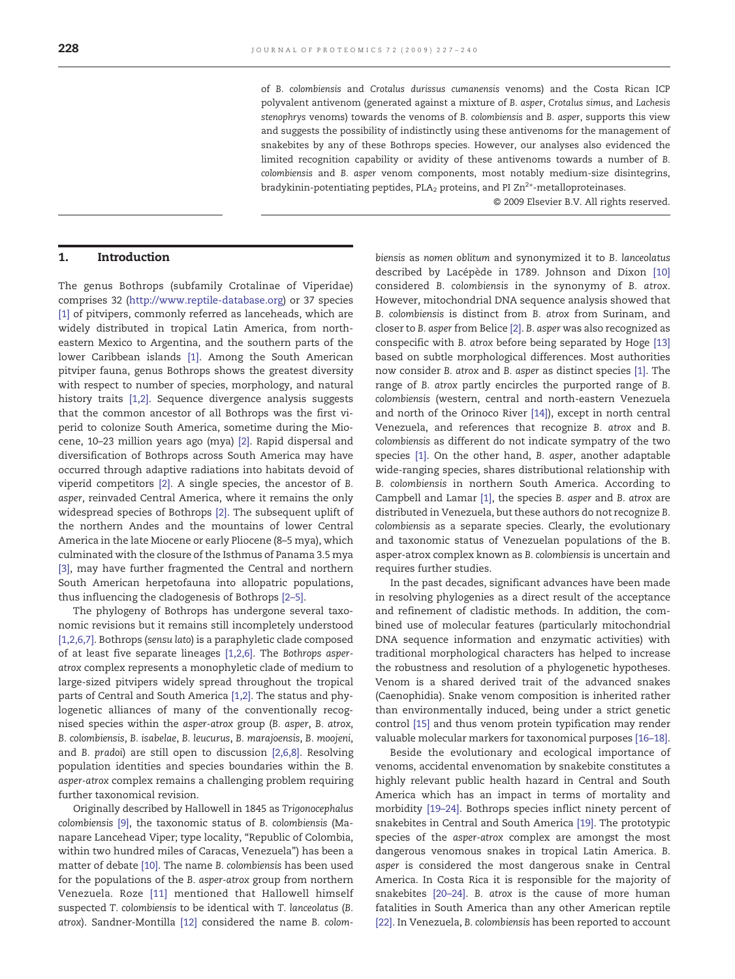of B. colombiensis and Crotalus durissus cumanensis venoms) and the Costa Rican ICP polyvalent antivenom (generated against a mixture of B. asper, Crotalus simus, and Lachesis stenophrys venoms) towards the venoms of B. colombiensis and B. asper, supports this view and suggests the possibility of indistinctly using these antivenoms for the management of snakebites by any of these Bothrops species. However, our analyses also evidenced the limited recognition capability or avidity of these antivenoms towards a number of B. colombiensis and B. asper venom components, most notably medium-size disintegrins, bradykinin-potentiating peptides, PLA<sub>2</sub> proteins, and PI Zn<sup>2+</sup>-metalloproteinases.

© 2009 Elsevier B.V. All rights reserved.

### 1. Introduction

The genus Bothrops (subfamily Crotalinae of Viperidae) comprises 32 (<http://www.reptile-database.org>) or 37 species [\[1\]](#page-12-0) of pitvipers, commonly referred as lanceheads, which are widely distributed in tropical Latin America, from northeastern Mexico to Argentina, and the southern parts of the lower Caribbean islands [\[1\]](#page-12-0). Among the South American pitviper fauna, genus Bothrops shows the greatest diversity with respect to number of species, morphology, and natural history traits [\[1,2\].](#page-12-0) Sequence divergence analysis suggests that the common ancestor of all Bothrops was the first viperid to colonize South America, sometime during the Miocene, 10–23 million years ago (mya) [\[2\]](#page-12-0). Rapid dispersal and diversification of Bothrops across South America may have occurred through adaptive radiations into habitats devoid of viperid competitors [\[2\]](#page-12-0). A single species, the ancestor of B. asper, reinvaded Central America, where it remains the only widespread species of Bothrops [\[2\]](#page-12-0). The subsequent uplift of the northern Andes and the mountains of lower Central America in the late Miocene or early Pliocene (8–5 mya), which culminated with the closure of the Isthmus of Panama 3.5 mya [\[3\],](#page-12-0) may have further fragmented the Central and northern South American herpetofauna into allopatric populations, thus influencing the cladogenesis of Bothrops [\[2](#page-12-0)–5].

The phylogeny of Bothrops has undergone several taxonomic revisions but it remains still incompletely understood [\[1,2,6,7\]](#page-12-0). Bothrops (sensu lato) is a paraphyletic clade composed of at least five separate lineages [\[1,2,6\].](#page-12-0) The Bothrops asperatrox complex represents a monophyletic clade of medium to large-sized pitvipers widely spread throughout the tropical parts of Central and South America [\[1,2\]](#page-12-0). The status and phylogenetic alliances of many of the conventionally recognised species within the asper-atrox group (B. asper, B. atrox, B. colombiensis, B. isabelae, B. leucurus, B. marajoensis, B. moojeni, and B. pradoi) are still open to discussion [\[2,6,8\].](#page-12-0) Resolving population identities and species boundaries within the B. asper-atrox complex remains a challenging problem requiring further taxonomical revision.

Originally described by Hallowell in 1845 as Trigonocephalus colombiensis [\[9\],](#page-12-0) the taxonomic status of B. colombiensis (Manapare Lancehead Viper; type locality, "Republic of Colombia, within two hundred miles of Caracas, Venezuela") has been a matter of debate [\[10\]](#page-12-0). The name B. colombiensis has been used for the populations of the B. asper-atrox group from northern Venezuela. Roze [\[11\]](#page-12-0) mentioned that Hallowell himself suspected T. colombiensis to be identical with T. lanceolatus (B. atrox). Sandner-Montilla [\[12\]](#page-12-0) considered the name B. colombiensis as nomen oblitum and synonymized it to B. lanceolatus described by Lacépède in 1789. Johnson and Dixon [\[10\]](#page-12-0) considered B. colombiensis in the synonymy of B. atrox. However, mitochondrial DNA sequence analysis showed that B. colombiensis is distinct from B. atrox from Surinam, and closer to B. asper from Belice [\[2\].](#page-12-0) B. asper was also recognized as conspecific with B. atrox before being separated by Hoge [\[13\]](#page-12-0) based on subtle morphological differences. Most authorities now consider B. atrox and B. asper as distinct species [\[1\].](#page-12-0) The range of B. atrox partly encircles the purported range of B. colombiensis (western, central and north-eastern Venezuela and north of the Orinoco River [\[14\]](#page-12-0)), except in north central Venezuela, and references that recognize B. atrox and B. colombiensis as different do not indicate sympatry of the two species [\[1\].](#page-12-0) On the other hand, B. asper, another adaptable wide-ranging species, shares distributional relationship with B. colombiensis in northern South America. According to Campbell and Lamar [\[1\],](#page-12-0) the species B. asper and B. atrox are distributed in Venezuela, but these authors do not recognize B. colombiensis as a separate species. Clearly, the evolutionary and taxonomic status of Venezuelan populations of the B. asper-atrox complex known as B. colombiensis is uncertain and requires further studies.

In the past decades, significant advances have been made in resolving phylogenies as a direct result of the acceptance and refinement of cladistic methods. In addition, the combined use of molecular features (particularly mitochondrial DNA sequence information and enzymatic activities) with traditional morphological characters has helped to increase the robustness and resolution of a phylogenetic hypotheses. Venom is a shared derived trait of the advanced snakes (Caenophidia). Snake venom composition is inherited rather than environmentally induced, being under a strict genetic control [\[15\]](#page-12-0) and thus venom protein typification may render valuable molecular markers for taxonomical purposes [\[16](#page-12-0)–18].

Beside the evolutionary and ecological importance of venoms, accidental envenomation by snakebite constitutes a highly relevant public health hazard in Central and South America which has an impact in terms of mortality and morbidity [\[19](#page-12-0)–24]. Bothrops species inflict ninety percent of snakebites in Central and South America [\[19\]](#page-12-0). The prototypic species of the asper-atrox complex are amongst the most dangerous venomous snakes in tropical Latin America. B. asper is considered the most dangerous snake in Central America. In Costa Rica it is responsible for the majority of snakebites [20–[24\].](#page-12-0) B. atrox is the cause of more human fatalities in South America than any other American reptile [\[22\]](#page-12-0). In Venezuela, B. colombiensis has been reported to account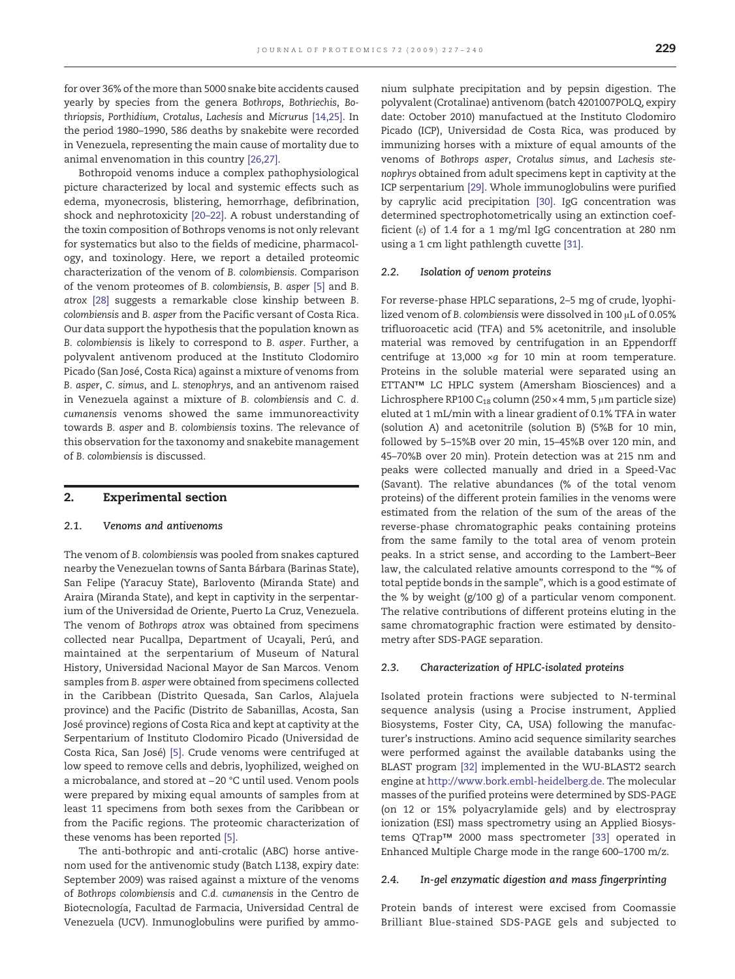for over 36% of the more than 5000 snake bite accidents caused yearly by species from the genera Bothrops, Bothriechis, Bothriopsis, Porthidium, Crotalus, Lachesis and Micrurus [\[14,25\].](#page-12-0) In the period 1980–1990, 586 deaths by snakebite were recorded in Venezuela, representing the main cause of mortality due to animal envenomation in this country [\[26,27\]](#page-12-0).

Bothropoid venoms induce a complex pathophysiological picture characterized by local and systemic effects such as edema, myonecrosis, blistering, hemorrhage, defibrination, shock and nephrotoxicity [20–[22\].](#page-12-0) A robust understanding of the toxin composition of Bothrops venoms is not only relevant for systematics but also to the fields of medicine, pharmacology, and toxinology. Here, we report a detailed proteomic characterization of the venom of B. colombiensis. Comparison of the venom proteomes of B. colombiensis, B. asper [\[5\]](#page-12-0) and B. atrox [\[28\]](#page-12-0) suggests a remarkable close kinship between B. colombiensis and B. asper from the Pacific versant of Costa Rica. Our data support the hypothesis that the population known as B. colombiensis is likely to correspond to B. asper. Further, a polyvalent antivenom produced at the Instituto Clodomiro Picado (San José, Costa Rica) against a mixture of venoms from B. asper, C. simus, and L. stenophrys, and an antivenom raised in Venezuela against a mixture of B. colombiensis and C. d. cumanensis venoms showed the same immunoreactivity towards B. asper and B. colombiensis toxins. The relevance of this observation for the taxonomy and snakebite management of B. colombiensis is discussed.

## 2. Experimental section

# 2.1. Venoms and antivenoms

The venom of B. colombiensis was pooled from snakes captured nearby the Venezuelan towns of Santa Bárbara (Barinas State), San Felipe (Yaracuy State), Barlovento (Miranda State) and Araira (Miranda State), and kept in captivity in the serpentarium of the Universidad de Oriente, Puerto La Cruz, Venezuela. The venom of Bothrops atrox was obtained from specimens collected near Pucallpa, Department of Ucayali, Perú, and maintained at the serpentarium of Museum of Natural History, Universidad Nacional Mayor de San Marcos. Venom samples from B. asper were obtained from specimens collected in the Caribbean (Distrito Quesada, San Carlos, Alajuela province) and the Pacific (Distrito de Sabanillas, Acosta, San José province) regions of Costa Rica and kept at captivity at the Serpentarium of Instituto Clodomiro Picado (Universidad de Costa Rica, San José) [\[5\]](#page-12-0). Crude venoms were centrifuged at low speed to remove cells and debris, lyophilized, weighed on a microbalance, and stored at −20 °C until used. Venom pools were prepared by mixing equal amounts of samples from at least 11 specimens from both sexes from the Caribbean or from the Pacific regions. The proteomic characterization of these venoms has been reported [\[5\].](#page-12-0)

The anti-bothropic and anti-crotalic (ABC) horse antivenom used for the antivenomic study (Batch L138, expiry date: September 2009) was raised against a mixture of the venoms of Bothrops colombiensis and C.d. cumanensis in the Centro de Biotecnología, Facultad de Farmacia, Universidad Central de Venezuela (UCV). Inmunoglobulins were purified by ammo-

nium sulphate precipitation and by pepsin digestion. The polyvalent (Crotalinae) antivenom (batch 4201007POLQ, expiry date: October 2010) manufactued at the Instituto Clodomiro Picado (ICP), Universidad de Costa Rica, was produced by immunizing horses with a mixture of equal amounts of the venoms of Bothrops asper, Crotalus simus, and Lachesis stenophrys obtained from adult specimens kept in captivity at the ICP serpentarium [\[29\].](#page-12-0) Whole immunoglobulins were purified by caprylic acid precipitation [\[30\]](#page-12-0). IgG concentration was determined spectrophotometrically using an extinction coefficient (ε) of 1.4 for a 1 mg/ml IgG concentration at 280 nm using a 1 cm light pathlength cuvette [\[31\].](#page-12-0)

#### 2.2. Isolation of venom proteins

For reverse-phase HPLC separations, 2–5 mg of crude, lyophilized venom of B. colombiensis were dissolved in 100 μL of 0.05% trifluoroacetic acid (TFA) and 5% acetonitrile, and insoluble material was removed by centrifugation in an Eppendorff centrifuge at 13,000  $\times q$  for 10 min at room temperature. Proteins in the soluble material were separated using an ETTAN™ LC HPLC system (Amersham Biosciences) and a Lichrosphere RP100  $C_{18}$  column (250 × 4 mm, 5 µm particle size) eluted at 1 mL/min with a linear gradient of 0.1% TFA in water (solution A) and acetonitrile (solution B) (5%B for 10 min, followed by 5–15%B over 20 min, 15–45%B over 120 min, and 45–70%B over 20 min). Protein detection was at 215 nm and peaks were collected manually and dried in a Speed-Vac (Savant). The relative abundances (% of the total venom proteins) of the different protein families in the venoms were estimated from the relation of the sum of the areas of the reverse-phase chromatographic peaks containing proteins from the same family to the total area of venom protein peaks. In a strict sense, and according to the Lambert–Beer law, the calculated relative amounts correspond to the "% of total peptide bonds in the sample", which is a good estimate of the % by weight (g/100 g) of a particular venom component. The relative contributions of different proteins eluting in the same chromatographic fraction were estimated by densitometry after SDS-PAGE separation.

#### 2.3. Characterization of HPLC-isolated proteins

Isolated protein fractions were subjected to N-terminal sequence analysis (using a Procise instrument, Applied Biosystems, Foster City, CA, USA) following the manufacturer's instructions. Amino acid sequence similarity searches were performed against the available databanks using the BLAST program [\[32\]](#page-12-0) implemented in the WU-BLAST2 search engine at <http://www.bork.embl-heidelberg.de>. The molecular masses of the purified proteins were determined by SDS-PAGE (on 12 or 15% polyacrylamide gels) and by electrospray ionization (ESI) mass spectrometry using an Applied Biosystems QTrap™ 2000 mass spectrometer [\[33\]](#page-12-0) operated in Enhanced Multiple Charge mode in the range 600–1700 m/z.

#### 2.4. In-gel enzymatic digestion and mass fingerprinting

Protein bands of interest were excised from Coomassie Brilliant Blue-stained SDS-PAGE gels and subjected to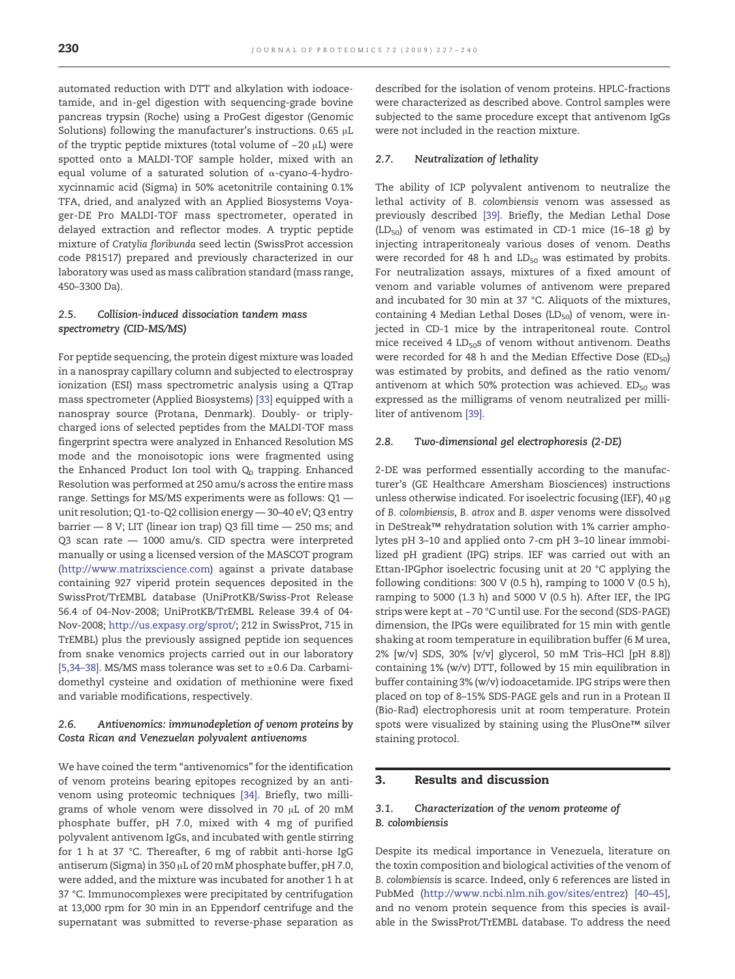automated reduction with DTT and alkylation with iodoacetamide, and in-gel digestion with sequencing-grade bovine pancreas trypsin (Roche) using a ProGest digestor (Genomic Solutions) following the manufacturer's instructions. 0.65 μL of the tryptic peptide mixtures (total volume of  $\sim$  20  $\mu$ L) were spotted onto a MALDI-TOF sample holder, mixed with an equal volume of a saturated solution of α-cyano-4-hydroxycinnamic acid (Sigma) in 50% acetonitrile containing 0.1% TFA, dried, and analyzed with an Applied Biosystems Voyager-DE Pro MALDI-TOF mass spectrometer, operated in delayed extraction and reflector modes. A tryptic peptide mixture of Cratylia floribunda seed lectin (SwissProt accession code P81517) prepared and previously characterized in our laboratory was used as mass calibration standard (mass range, 450–3300 Da).

# 2.5. Collision-induced dissociation tandem mass spectrometry (CID-MS/MS)

For peptide sequencing, the protein digest mixture was loaded in a nanospray capillary column and subjected to electrospray ionization (ESI) mass spectrometric analysis using a QTrap mass spectrometer (Applied Biosystems) [\[33\]](#page-12-0) equipped with a nanospray source (Protana, Denmark). Doubly- or triplycharged ions of selected peptides from the MALDI-TOF mass fingerprint spectra were analyzed in Enhanced Resolution MS mode and the monoisotopic ions were fragmented using the Enhanced Product Ion tool with  $Q_0$  trapping. Enhanced Resolution was performed at 250 amu/s across the entire mass range. Settings for MS/MS experiments were as follows: Q1 unit resolution; Q1-to-Q2 collision energy — 30–40 eV; Q3 entry barrier — 8 V; LIT (linear ion trap) Q3 fill time — 250 ms; and Q3 scan rate — 1000 amu/s. CID spectra were interpreted manually or using a licensed version of the MASCOT program (<http://www.matrixscience.com>) against a private database containing 927 viperid protein sequences deposited in the SwissProt/TrEMBL database (UniProtKB/Swiss-Prot Release 56.4 of 04-Nov-2008; UniProtKB/TrEMBL Release 39.4 of 04- Nov-2008; <http://us.expasy.org/sprot/>; 212 in SwissProt, 715 in TrEMBL) plus the previously assigned peptide ion sequences from snake venomics projects carried out in our laboratory [\[5,34](#page-12-0)–38]. MS/MS mass tolerance was set to ±0.6 Da. Carbamidomethyl cysteine and oxidation of methionine were fixed and variable modifications, respectively.

# 2.6. Antivenomics: immunodepletion of venom proteins by Costa Rican and Venezuelan polyvalent antivenoms

We have coined the term "antivenomics" for the identification of venom proteins bearing epitopes recognized by an antivenom using proteomic techniques [\[34\].](#page-12-0) Briefly, two milligrams of whole venom were dissolved in 70 μL of 20 mM phosphate buffer, pH 7.0, mixed with 4 mg of purified polyvalent antivenom IgGs, and incubated with gentle stirring for 1 h at 37 °C. Thereafter, 6 mg of rabbit anti-horse IgG antiserum (Sigma) in 350 μL of 20 mM phosphate buffer, pH 7.0, were added, and the mixture was incubated for another 1 h at 37 °C. Immunocomplexes were precipitated by centrifugation at 13,000 rpm for 30 min in an Eppendorf centrifuge and the supernatant was submitted to reverse-phase separation as

described for the isolation of venom proteins. HPLC-fractions were characterized as described above. Control samples were subjected to the same procedure except that antivenom IgGs were not included in the reaction mixture.

#### 2.7. Neutralization of lethality

The ability of ICP polyvalent antivenom to neutralize the lethal activity of B. colombiensis venom was assessed as previously described [\[39\]](#page-12-0). Briefly, the Median Lethal Dose  $(LD_{50})$  of venom was estimated in CD-1 mice (16-18 g) by injecting intraperitonealy various doses of venom. Deaths were recorded for 48 h and  $LD_{50}$  was estimated by probits. For neutralization assays, mixtures of a fixed amount of venom and variable volumes of antivenom were prepared and incubated for 30 min at 37 °C. Aliquots of the mixtures, containing 4 Median Lethal Doses  $(LD_{50})$  of venom, were injected in CD-1 mice by the intraperitoneal route. Control mice received 4  $LD_{50}$ s of venom without antivenom. Deaths were recorded for 48 h and the Median Effective Dose (ED<sub>50</sub>) was estimated by probits, and defined as the ratio venom/ antivenom at which 50% protection was achieved.  $ED_{50}$  was expressed as the milligrams of venom neutralized per milliliter of antivenom [\[39\].](#page-12-0)

## 2.8. Two-dimensional gel electrophoresis (2-DE)

2-DE was performed essentially according to the manufacturer's (GE Healthcare Amersham Biosciences) instructions unless otherwise indicated. For isoelectric focusing (IEF), 40 μg of B. colombiensis, B. atrox and B. asper venoms were dissolved in DeStreak™ rehydratation solution with 1% carrier ampholytes pH 3–10 and applied onto 7-cm pH 3–10 linear immobilized pH gradient (IPG) strips. IEF was carried out with an Ettan-IPGphor isoelectric focusing unit at 20 °C applying the following conditions: 300 V (0.5 h), ramping to 1000 V (0.5 h), ramping to 5000 (1.3 h) and 5000 V (0.5 h). After IEF, the IPG strips were kept at −70 °C until use. For the second (SDS-PAGE) dimension, the IPGs were equilibrated for 15 min with gentle shaking at room temperature in equilibration buffer (6 M urea, 2% [w/v] SDS, 30% [v/v] glycerol, 50 mM Tris–HCl [pH 8.8]) containing 1% (w/v) DTT, followed by 15 min equilibration in buffer containing 3% (w/v) iodoacetamide. IPG strips were then placed on top of 8–15% SDS-PAGE gels and run in a Protean II (Bio-Rad) electrophoresis unit at room temperature. Protein spots were visualized by staining using the PlusOne™ silver staining protocol.

# 3. Results and discussion

# 3.1. Characterization of the venom proteome of B. colombiensis

Despite its medical importance in Venezuela, literature on the toxin composition and biological activities of the venom of B. colombiensis is scarce. Indeed, only 6 references are listed in PubMed [\(http://www.ncbi.nlm.nih.gov/sites/entrez\)](http://www.ncbi.nlm.nih.gov/sites/entrez) [\[40](#page-13-0)–45], and no venom protein sequence from this species is available in the SwissProt/TrEMBL database. To address the need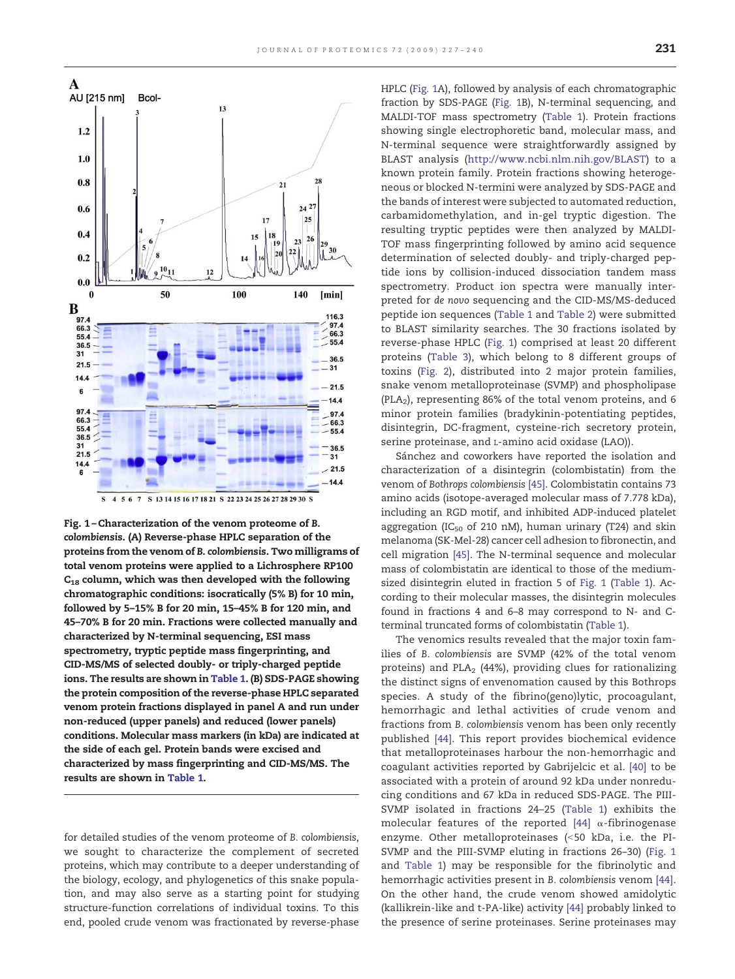<span id="page-4-0"></span>

Fig. 1 –Characterization of the venom proteome of B. colombiensis. (A) Reverse-phase HPLC separation of the proteins from the venom of B. colombiensis. Two milligrams of total venom proteins were applied to a Lichrosphere RP100  $C_{18}$  column, which was then developed with the following chromatographic conditions: isocratically (5% B) for 10 min, followed by 5–15% B for 20 min, 15–45% B for 120 min, and 45–70% B for 20 min. Fractions were collected manually and characterized by N-terminal sequencing, ESI mass spectrometry, tryptic peptide mass fingerprinting, and CID-MS/MS of selected doubly- or triply-charged peptide ions. The results are shown in [Table 1](#page-5-0). (B) SDS-PAGE showing the protein composition of the reverse-phase HPLC separated venom protein fractions displayed in panel A and run under non-reduced (upper panels) and reduced (lower panels) conditions. Molecular mass markers (in kDa) are indicated at the side of each gel. Protein bands were excised and characterized by mass fingerprinting and CID-MS/MS. The results are shown in [Table 1.](#page-5-0)

for detailed studies of the venom proteome of B. colombiensis, we sought to characterize the complement of secreted proteins, which may contribute to a deeper understanding of the biology, ecology, and phylogenetics of this snake population, and may also serve as a starting point for studying structure-function correlations of individual toxins. To this end, pooled crude venom was fractionated by reverse-phase HPLC (Fig. 1A), followed by analysis of each chromatographic fraction by SDS-PAGE (Fig. 1B), N-terminal sequencing, and MALDI-TOF mass spectrometry [\(Table 1](#page-5-0)). Protein fractions showing single electrophoretic band, molecular mass, and N-terminal sequence were straightforwardly assigned by BLAST analysis [\(http://www.ncbi.nlm.nih.gov/BLAST\)](http://www.ncbi.nlm.nih.gov/BLAST) to a known protein family. Protein fractions showing heterogeneous or blocked N-termini were analyzed by SDS-PAGE and the bands of interest were subjected to automated reduction, carbamidomethylation, and in-gel tryptic digestion. The resulting tryptic peptides were then analyzed by MALDI-TOF mass fingerprinting followed by amino acid sequence determination of selected doubly- and triply-charged peptide ions by collision-induced dissociation tandem mass spectrometry. Product ion spectra were manually interpreted for de novo sequencing and the CID-MS/MS-deduced peptide ion sequences [\(Table 1](#page-5-0) and [Table 2\)](#page-6-0) were submitted to BLAST similarity searches. The 30 fractions isolated by reverse-phase HPLC (Fig. 1) comprised at least 20 different proteins ([Table 3\)](#page-7-0), which belong to 8 different groups of toxins ([Fig. 2](#page-7-0)), distributed into 2 major protein families, snake venom metalloproteinase (SVMP) and phospholipase (PLA2), representing 86% of the total venom proteins, and 6 minor protein families (bradykinin-potentiating peptides, disintegrin, DC-fragment, cysteine-rich secretory protein, serine proteinase, and L-amino acid oxidase (LAO)).

Sánchez and coworkers have reported the isolation and characterization of a disintegrin (colombistatin) from the venom of Bothrops colombiensis [\[45\].](#page-13-0) Colombistatin contains 73 amino acids (isotope-averaged molecular mass of 7.778 kDa), including an RGD motif, and inhibited ADP-induced platelet aggregation (IC $_{50}$  of 210 nM), human urinary (T24) and skin melanoma (SK-Mel-28) cancer cell adhesion to fibronectin, and cell migration [\[45\].](#page-13-0) The N-terminal sequence and molecular mass of colombistatin are identical to those of the mediumsized disintegrin eluted in fraction 5 of Fig. 1 [\(Table 1\)](#page-5-0). According to their molecular masses, the disintegrin molecules found in fractions 4 and 6–8 may correspond to N- and Cterminal truncated forms of colombistatin [\(Table 1](#page-5-0)).

The venomics results revealed that the major toxin families of B. colombiensis are SVMP (42% of the total venom proteins) and  $PLA_2$  (44%), providing clues for rationalizing the distinct signs of envenomation caused by this Bothrops species. A study of the fibrino(geno)lytic, procoagulant, hemorrhagic and lethal activities of crude venom and fractions from B. colombiensis venom has been only recently published [\[44\]](#page-13-0). This report provides biochemical evidence that metalloproteinases harbour the non-hemorrhagic and coagulant activities reported by Gabrijelcic et al. [\[40\]](#page-13-0) to be associated with a protein of around 92 kDa under nonreducing conditions and 67 kDa in reduced SDS-PAGE. The PIII-SVMP isolated in fractions 24–25 ([Table 1\)](#page-5-0) exhibits the molecular features of the reported [\[44\]](#page-13-0) α-fibrinogenase enzyme. Other metalloproteinases  $\langle$ <50 kDa, i.e. the PI-SVMP and the PIII-SVMP eluting in fractions 26–30) (Fig. 1 and [Table 1](#page-5-0)) may be responsible for the fibrinolytic and hemorrhagic activities present in B. colombiensis venom [\[44\].](#page-13-0) On the other hand, the crude venom showed amidolytic (kallikrein-like and t-PA-like) activity [\[44\]](#page-13-0) probably linked to the presence of serine proteinases. Serine proteinases may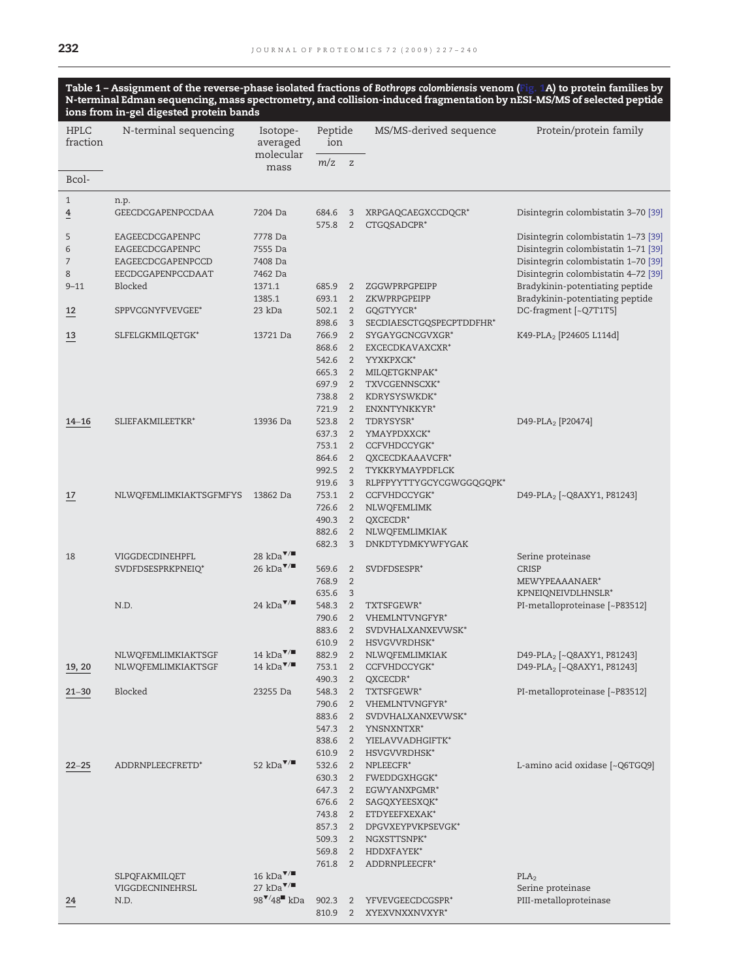<span id="page-5-0"></span>Table 1 – Assignment of the reverse-phase isolated fractions of Bothrops colombiensis venom [\(Fig. 1](#page-4-0)A) to protein families by N-terminal Edman sequencing, mass spectrometry, and collision-induced fragmentation by nESI-MS/MS of selected peptide ions from in-gel digested protein bands

| <b>HPLC</b><br>fraction | N-terminal sequencing     | Isotope-<br>averaged                                | Peptide<br>ion |                                  | MS/MS-derived sequence                      | Protein/protein family                 |  |
|-------------------------|---------------------------|-----------------------------------------------------|----------------|----------------------------------|---------------------------------------------|----------------------------------------|--|
|                         |                           | molecular<br>mass                                   | m/z            | Z                                |                                             |                                        |  |
| Bcol-                   |                           |                                                     |                |                                  |                                             |                                        |  |
| 1<br>4                  | n.p.<br>GEECDCGAPENPCCDAA | 7204 Da                                             | 684.6<br>575.8 | 3<br>2                           | XRPGAQCAEGXCCDQCR*<br>CTGQSADCPR*           | Disintegrin colombistatin 3-70 [39]    |  |
| 5                       | EAGEECDCGAPENPC           | 7778 Da                                             |                |                                  |                                             | Disintegrin colombistatin 1-73 [39]    |  |
| 6                       | EAGEECDCGAPENPC           | 7555 Da                                             |                |                                  |                                             | Disintegrin colombistatin 1-71 [39]    |  |
| 7                       | EAGEECDCGAPENPCCD         | 7408 Da                                             |                |                                  |                                             | Disintegrin colombistatin 1-70 [39]    |  |
| 8                       | EECDCGAPENPCCDAAT         | 7462 Da                                             |                |                                  |                                             | Disintegrin colombistatin 4-72 [39]    |  |
| $9 - 11$                | Blocked                   | 1371.1                                              | 685.9          | 2                                | ZGGWPRPGPEIPP                               | Bradykinin-potentiating peptide        |  |
|                         |                           | 1385.1                                              | 693.1          | 2                                | ZKWPRPGPEIPP                                | Bradykinin-potentiating peptide        |  |
| 12                      | SPPVCGNYFVEVGEE*          | 23 kDa                                              | 502.1<br>898.6 | 2<br>3                           | GQGTYYCR*                                   | DC-fragment [~Q7T1T5]                  |  |
| 13                      | SLFELGKMILQETGK*          | 13721 Da                                            | 766.9          | 2                                | SECDIAESCTGQSPECPTDDFHR*<br>SYGAYGCNCGVXGR* | K49-PLA <sub>2</sub> [P24605 L114d]    |  |
|                         |                           |                                                     | 868.6          | 2                                | EXCECDKAVAXCXR*                             |                                        |  |
|                         |                           |                                                     | 542.6          | 2                                | YYXKPXCK*                                   |                                        |  |
|                         |                           |                                                     | 665.3          | 2                                | MILQETGKNPAK*                               |                                        |  |
|                         |                           |                                                     | 697.9          | $\overline{2}$                   | TXVCGENNSCXK*                               |                                        |  |
|                         |                           |                                                     | 738.8          | 2                                | KDRYSYSWKDK*                                |                                        |  |
|                         |                           |                                                     | 721.9          | $\overline{2}$                   | ENXNTYNKKYR*                                |                                        |  |
| $14 - 16$               | SLIEFAKMILEETKR*          | 13936 Da                                            | 523.8          | $\overline{2}$                   | TDRYSYSR*                                   | D49-PLA <sub>2</sub> [P20474]          |  |
|                         |                           |                                                     | 637.3          | 2                                | YMAYPDXXCK*                                 |                                        |  |
|                         |                           |                                                     | 753.1          | $\overline{2}$                   | CCFVHDCCYGK*                                |                                        |  |
|                         |                           |                                                     | 864.6          | 2                                | QXCECDKAAAVCFR*                             |                                        |  |
|                         |                           |                                                     | 992.5          | 2                                | TYKKRYMAYPDFLCK                             |                                        |  |
|                         |                           |                                                     | 919.6<br>753.1 | 3<br>2                           | RLPFPYYTTYGCYCGWGGQGQPK*                    |                                        |  |
| 17                      | NLWQFEMLIMKIAKTSGFMFYS    | 13862 Da                                            | 726.6          | 2                                | CCFVHDCCYGK*<br>NLWQFEMLIMK                 | D49-PLA <sub>2</sub> [~Q8AXY1, P81243] |  |
|                         |                           |                                                     | 490.3          | $\overline{2}$                   | QXCECDR*                                    |                                        |  |
|                         |                           |                                                     | 882.6          | $\overline{2}$                   | NLWQFEMLIMKIAK                              |                                        |  |
|                         |                           |                                                     | 682.3          | 3                                | DNKDTYDMKYWFYGAK                            |                                        |  |
| 18                      | VIGGDECDINEHPFL           | 28 kDa $\overline{ }$ / $\blacksquare$              |                |                                  |                                             | Serine proteinase                      |  |
|                         | SVDFDSESPRKPNEIQ*         | 26 kDa $V/\blacksquare$                             | 569.6          | $\overline{2}$                   | SVDFDSESPR*                                 | <b>CRISP</b>                           |  |
|                         |                           |                                                     | 768.9          | $\overline{2}$                   |                                             | MEWYPEAAANAER*                         |  |
|                         |                           |                                                     | 635.6          | 3                                |                                             | KPNEIQNEIVDLHNSLR*                     |  |
|                         | N.D.                      | 24 kDa $\overline{V}$                               | 548.3          | $\overline{2}$                   | TXTSFGEWR*                                  | PI-metalloproteinase [~P83512]         |  |
|                         |                           |                                                     | 790.6          | 2                                | VHEMLNTVNGFYR*                              |                                        |  |
|                         |                           |                                                     | 883.6          | 2                                | SVDVHALXANXEVWSK*                           |                                        |  |
|                         | NLWQFEMLIMKIAKTSGF        | 14 $kDa^{\blacktriangledown/\blacksquare}$          | 610.9<br>882.9 | 2<br>$\overline{2}$              | HSVGVVRDHSK*<br>NLWQFEMLIMKIAK              | D49-PLA <sub>2</sub> [~Q8AXY1, P81243] |  |
| 19, 20                  | NLWQFEMLIMKIAKTSGF        | 14 $kDa$ <sup><math>V/I</math></sup>                | 753.1          | $\overline{2}$                   | CCFVHDCCYGK*                                | D49-PLA <sub>2</sub> [~Q8AXY1, P81243] |  |
|                         |                           |                                                     | 490.3          | $\overline{2}$                   | QXCECDR*                                    |                                        |  |
| $21 - 30$               | Blocked                   | 23255 Da                                            | 548.3          | 2                                | TXTSFGEWR*                                  | PI-metalloproteinase [~P83512]         |  |
|                         |                           |                                                     | 790.6          | $\overline{2}$                   | VHEMLNTVNGFYR*                              |                                        |  |
|                         |                           |                                                     | 883.6          | 2                                | SVDVHALXANXEVWSK*                           |                                        |  |
|                         |                           |                                                     | 547.3          | 2                                | YNSNXNTXR*                                  |                                        |  |
|                         |                           |                                                     | 838.6          | $\overline{2}$                   | YIELAVVADHGIFTK*                            |                                        |  |
|                         |                           |                                                     | 610.9          | $\overline{2}$                   | HSVGVVRDHSK*                                |                                        |  |
| $22 - 25$               | ADDRNPLEECFRETD*          | 52 kDa $V$ =                                        | 532.6          | $\overline{2}$                   | NPLEECFR*                                   | L-amino acid oxidase [~Q6TGQ9]         |  |
|                         |                           |                                                     | 630.3<br>647.3 | $\overline{2}$<br>$\overline{2}$ | FWEDDGXHGGK*<br>EGWYANXPGMR*                |                                        |  |
|                         |                           |                                                     | 676.6          | $\overline{2}$                   | SAGQXYEESXQK*                               |                                        |  |
|                         |                           |                                                     | 743.8          | $2^{\circ}$                      | ETDYEEFXEXAK*                               |                                        |  |
|                         |                           |                                                     | 857.3          | 2                                | DPGVXEYPVKPSEVGK*                           |                                        |  |
|                         |                           |                                                     | 509.3          | 2                                | NGXSTTSNPK*                                 |                                        |  |
|                         |                           |                                                     | 569.8          | $\overline{2}$                   | HDDXFAYEK*                                  |                                        |  |
|                         |                           |                                                     | 761.8          | 2                                | ADDRNPLEECFR*                               |                                        |  |
|                         | SLPQFAKMILQET             | $16 \text{ kDa}$ <sup><math>\checkmark</math></sup> |                |                                  |                                             | PLA <sub>2</sub>                       |  |
|                         | VIGGDECNINEHRSL           | 27 $kDa^{\nabla/\blacksquare}$                      |                |                                  |                                             | Serine proteinase                      |  |
| 24                      | N.D.                      | 98 <sup>▼/</sup> 48 <sup>■</sup> kDa                | 902.3          | 2                                | YFVEVGEECDCGSPR*                            | PIII-metalloproteinase                 |  |
|                         |                           |                                                     | 810.9          | $\overline{2}$                   | XYEXVNXXNVXYR*                              |                                        |  |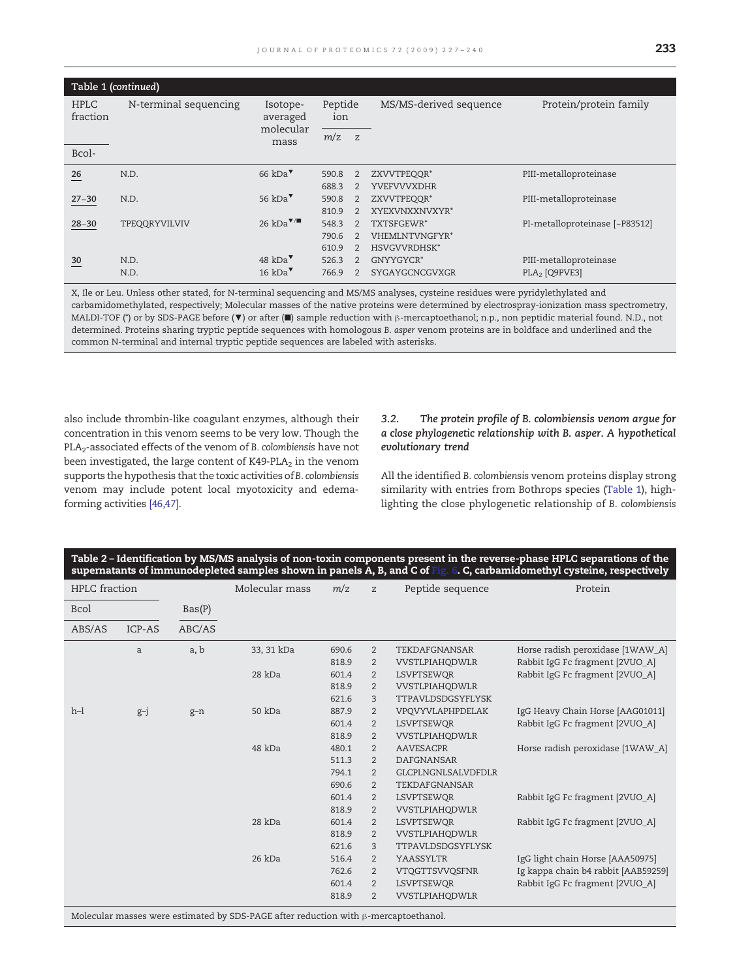<span id="page-6-0"></span>

| Table 1 (continued)     |                       |                                                     |                |               |                        |                                |  |
|-------------------------|-----------------------|-----------------------------------------------------|----------------|---------------|------------------------|--------------------------------|--|
| <b>HPLC</b><br>fraction | N-terminal sequencing | Isotope-<br>averaged                                | Peptide<br>ion |               | MS/MS-derived sequence | Protein/protein family         |  |
|                         |                       | molecular<br>mass                                   | m/z            | Z             |                        |                                |  |
| Bcol-                   |                       |                                                     |                |               |                        |                                |  |
| 26                      | N.D.                  | 66 kDa $\overline{ }$                               | 590.8          | 2             | ZXVVTPEQQR*            | PIII-metalloproteinase         |  |
|                         |                       |                                                     | 688.3          | $\mathcal{L}$ | YVEFVVVXDHR            |                                |  |
| $27 - 30$               | N.D.                  | 56 $kDa$ <sup><math>\blacktriangledown</math></sup> | 590.8          | 2             | ZXVVTPEQQR*            | PIII-metalloproteinase         |  |
|                         |                       |                                                     | 810.9          |               | XYEXVNXXNVXYR*         |                                |  |
| $28 - 30$               | TPEQQRYVILVIV         | 26 kDa $V/\blacksquare$                             | 548.3          | $\mathcal{P}$ | TXTSFGEWR*             | PI-metalloproteinase [~P83512] |  |
|                         |                       |                                                     | 790.6          | $\mathcal{P}$ | VHEMLNTVNGFYR*         |                                |  |
|                         |                       |                                                     | 610.9          |               | HSVGVVRDHSK*           |                                |  |
| 30                      | N.D.                  | 48 $kDa$ <sup><math>\overline{ }</math></sup>       | 526.3          | 2             | GNYYGYCR*              | PIII-metalloproteinase         |  |
|                         | N.D.                  | 16 $kDa$ <sup><math>\overline{ }</math></sup>       | 766.9          | 2             | SYGAYGCNCGVXGR         | PLA <sub>2</sub> [Q9PVE3]      |  |

X, Ile or Leu. Unless other stated, for N-terminal sequencing and MS/MS analyses, cysteine residues were pyridylethylated and carbamidomethylated, respectively; Molecular masses of the native proteins were determined by electrospray-ionization mass spectrometry, MALDI-TOF (⁎) or by SDS-PAGE before (▼) or after (■) sample reduction with β-mercaptoethanol; n.p., non peptidic material found. N.D., not determined. Proteins sharing tryptic peptide sequences with homologous B. asper venom proteins are in boldface and underlined and the common N-terminal and internal tryptic peptide sequences are labeled with asterisks.

also include thrombin-like coagulant enzymes, although their concentration in this venom seems to be very low. Though the PLA<sub>2</sub>-associated effects of the venom of B. colombiensis have not been investigated, the large content of  $K49$ -PLA<sub>2</sub> in the venom supports the hypothesis that the toxic activities of B. colombiensis venom may include potent local myotoxicity and edemaforming activities [\[46,47\].](#page-13-0)

# 3.2. The protein profile of B. colombiensis venom argue for a close phylogenetic relationship with B. asper. A hypothetical evolutionary trend

All the identified B. colombiensis venom proteins display strong similarity with entries from Bothrops species ([Table 1\)](#page-5-0), highlighting the close phylogenetic relationship of B. colombiensis

| Table 2 – Identification by MS/MS analysis of non-toxin components present in the reverse-phase HPLC separations of the         |
|---------------------------------------------------------------------------------------------------------------------------------|
| supernatants of immunodepleted samples shown in panels A, B, and C of $\rm{Fi}$<br>6. C, carbamidomethyl cysteine, respectively |

| <b>HPLC</b> fraction |        |        | Molecular mass | m/z   | Z              | Peptide sequence      | Protein                             |
|----------------------|--------|--------|----------------|-------|----------------|-----------------------|-------------------------------------|
| <b>B</b> col         |        | Bas(P) |                |       |                |                       |                                     |
| ABS/AS               | ICP-AS | ABC/AS |                |       |                |                       |                                     |
|                      | a      | a, b   | 33, 31 kDa     | 690.6 | $\overline{2}$ | <b>TEKDAFGNANSAR</b>  | Horse radish peroxidase [1WAW_A]    |
|                      |        |        |                | 818.9 | $\overline{2}$ | <b>VVSTLPIAHQDWLR</b> | Rabbit IgG Fc fragment [2VUO_A]     |
|                      |        |        | 28 kDa         | 601.4 | $\overline{2}$ | LSVPTSEWQR            | Rabbit IgG Fc fragment [2VUO_A]     |
|                      |        |        |                | 818.9 | $\overline{2}$ | <b>VVSTLPIAHQDWLR</b> |                                     |
|                      |        |        |                | 621.6 | 3              | TTPAVLDSDGSYFLYSK     |                                     |
| $h-1$                | $g-j$  | $g-n$  | 50 kDa         | 887.9 | $\overline{2}$ | VPQVYVLAPHPDELAK      | IgG Heavy Chain Horse [AAG01011]    |
|                      |        |        |                | 601.4 | $\overline{2}$ | LSVPTSEWQR            | Rabbit IgG Fc fragment [2VUO_A]     |
|                      |        |        |                | 818.9 | $\overline{2}$ | <b>VVSTLPIAHQDWLR</b> |                                     |
|                      |        |        | 48 kDa         | 480.1 | $\overline{2}$ | <b>AAVESACPR</b>      | Horse radish peroxidase [1WAW_A]    |
|                      |        |        |                | 511.3 | $\overline{2}$ | <b>DAFGNANSAR</b>     |                                     |
|                      |        |        |                | 794.1 | $\overline{2}$ | GLCPLNGNLSALVDFDLR    |                                     |
|                      |        |        |                | 690.6 | $\overline{2}$ | <b>TEKDAFGNANSAR</b>  |                                     |
|                      |        |        |                | 601.4 | $\overline{2}$ | LSVPTSEWQR            | Rabbit IgG Fc fragment [2VUO_A]     |
|                      |        |        |                | 818.9 | $\overline{2}$ | <b>VVSTLPIAHQDWLR</b> |                                     |
|                      |        |        | 28 kDa         | 601.4 | $\overline{2}$ | LSVPTSEWQR            | Rabbit IgG Fc fragment [2VUO_A]     |
|                      |        |        |                | 818.9 | $\overline{2}$ | <b>VVSTLPIAHQDWLR</b> |                                     |
|                      |        |        |                | 621.6 | 3              | TTPAVLDSDGSYFLYSK     |                                     |
|                      |        |        | 26 kDa         | 516.4 | $\overline{2}$ | YAASSYLTR             | IgG light chain Horse [AAA50975]    |
|                      |        |        |                | 762.6 | $\overline{2}$ | <b>VTQGTTSVVQSFNR</b> | Ig kappa chain b4 rabbit [AAB59259] |
|                      |        |        |                | 601.4 | $\overline{2}$ | LSVPTSEWQR            | Rabbit IgG Fc fragment [2VUO_A]     |
|                      |        |        |                | 818.9 | $\overline{2}$ | <b>VVSTLPIAHQDWLR</b> |                                     |

Molecular masses were estimated by SDS-PAGE after reduction with β-mercaptoethanol.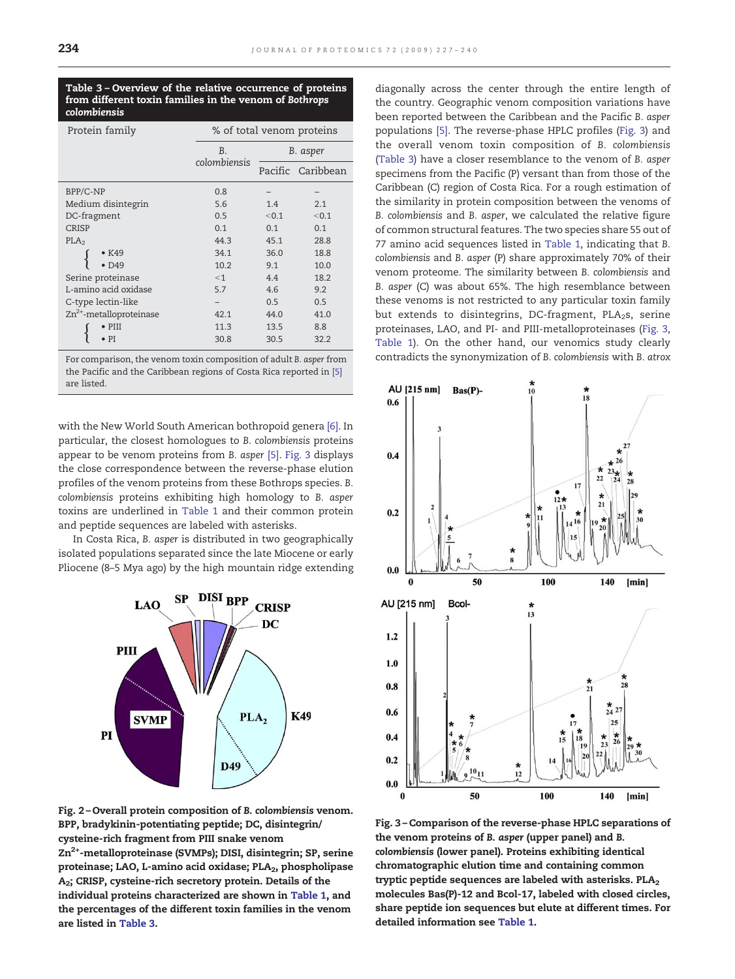<span id="page-7-0"></span>Table 3 – Overview of the relative occurrence of proteins from different toxin families in the venom of Bothrops colombiensis

| Protein family                      | % of total venom proteins |          |                   |  |  |  |
|-------------------------------------|---------------------------|----------|-------------------|--|--|--|
|                                     | <b>B.</b>                 | B. asper |                   |  |  |  |
|                                     | colombiensis              |          | Pacific Caribbean |  |  |  |
| BPP/C-NP                            | 0.8                       |          |                   |  |  |  |
| Medium disintegrin                  | 5.6                       | 1.4      | 2.1               |  |  |  |
| DC-fragment                         | 0.5                       | < 0.1    | < 0.1             |  |  |  |
| <b>CRISP</b>                        | 0.1                       | 0.1      | 0.1               |  |  |  |
| PLA <sub>2</sub>                    | 44.3                      | 45.1     | 28.8              |  |  |  |
| • K49<br>• D49                      | 34.1                      | 36.0     | 18.8              |  |  |  |
|                                     | 10.2                      | 9.1      | 10.0              |  |  |  |
| Serine proteinase                   | $<$ 1                     | 4.4      | 18.2              |  |  |  |
| L-amino acid oxidase                | 5.7                       | 4.6      | 9.2               |  |  |  |
| C-type lectin-like                  |                           | 0.5      | 0.5               |  |  |  |
| $\text{Zn}^{2+}$ -metalloproteinase | 42.1                      | 44.0     | 41.0              |  |  |  |
|                                     | 11.3                      | 13.5     | 8.8               |  |  |  |
|                                     | 30.8                      | 30.5     | 32.2              |  |  |  |

For comparison, the venom toxin composition of adult B. asper from the Pacific and the Caribbean regions of Costa Rica reported in [\[5\]](#page-12-0) are listed.

with the New World South American bothropoid genera [\[6\]](#page-12-0). In particular, the closest homologues to B. colombiensis proteins appear to be venom proteins from B. asper [\[5\]](#page-12-0). Fig. 3 displays the close correspondence between the reverse-phase elution profiles of the venom proteins from these Bothrops species. B. colombiensis proteins exhibiting high homology to B. asper toxins are underlined in [Table 1](#page-5-0) and their common protein and peptide sequences are labeled with asterisks.

In Costa Rica, B. asper is distributed in two geographically isolated populations separated since the late Miocene or early Pliocene (8–5 Mya ago) by the high mountain ridge extending



Fig. 2 – Overall protein composition of B. colombiensis venom. BPP, bradykinin-potentiating peptide; DC, disintegrin/ cysteine-rich fragment from PIII snake venom Zn<sup>2+</sup>-metalloproteinase (SVMPs); DISI, disintegrin; SP, serine proteinase; LAO, L-amino acid oxidase; PLA<sub>2</sub>, phospholipase A2; CRISP, cysteine-rich secretory protein. Details of the individual proteins characterized are shown in [Table 1,](#page-5-0) and the percentages of the different toxin families in the venom are listed in Table 3.

diagonally across the center through the entire length of the country. Geographic venom composition variations have been reported between the Caribbean and the Pacific B. asper populations [\[5\]](#page-12-0). The reverse-phase HPLC profiles (Fig. 3) and the overall venom toxin composition of B. colombiensis (Table 3) have a closer resemblance to the venom of B. asper specimens from the Pacific (P) versant than from those of the Caribbean (C) region of Costa Rica. For a rough estimation of the similarity in protein composition between the venoms of B. colombiensis and B. asper, we calculated the relative figure of common structural features. The two species share 55 out of 77 amino acid sequences listed in [Table 1](#page-5-0), indicating that B. colombiensis and B. asper (P) share approximately 70% of their venom proteome. The similarity between B. colombiensis and B. asper (C) was about 65%. The high resemblance between these venoms is not restricted to any particular toxin family but extends to disintegrins, DC-fragment, PLA<sub>2</sub>s, serine proteinases, LAO, and PI- and PIII-metalloproteinases (Fig. 3, [Table 1\)](#page-5-0). On the other hand, our venomics study clearly contradicts the synonymization of B. colombiensis with B. atrox



Fig. 3 –Comparison of the reverse-phase HPLC separations of the venom proteins of B. asper (upper panel) and B. colombiensis (lower panel). Proteins exhibiting identical chromatographic elution time and containing common tryptic peptide sequences are labeled with asterisks. PLA2 molecules Bas(P)-12 and Bcol-17, labeled with closed circles, share peptide ion sequences but elute at different times. For detailed information see [Table 1.](#page-5-0)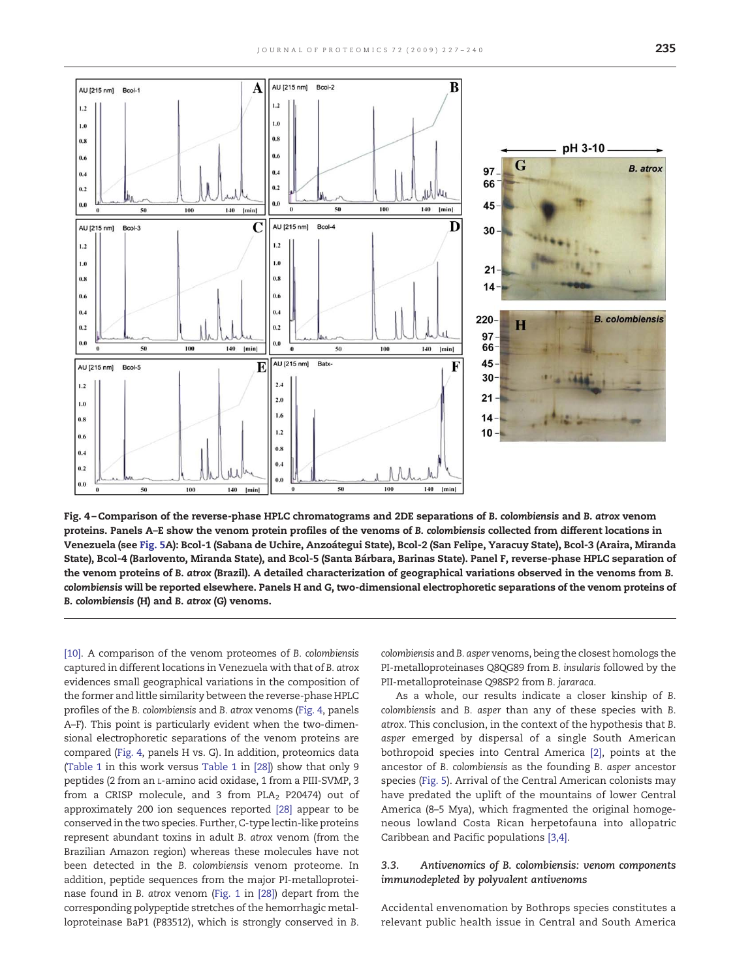

Fig. 4 –Comparison of the reverse-phase HPLC chromatograms and 2DE separations of B. colombiensis and B. atrox venom proteins. Panels A–E show the venom protein profiles of the venoms of B. colombiensis collected from different locations in Venezuela (see [Fig. 5](#page-9-0)A): Bcol-1 (Sabana de Uchire, Anzoátegui State), Bcol-2 (San Felipe, Yaracuy State), Bcol-3 (Araira, Miranda State), Bcol-4 (Barlovento, Miranda State), and Bcol-5 (Santa Bárbara, Barinas State). Panel F, reverse-phase HPLC separation of the venom proteins of B. atrox (Brazil). A detailed characterization of geographical variations observed in the venoms from B. colombiensis will be reported elsewhere. Panels H and G, two-dimensional electrophoretic separations of the venom proteins of B. colombiensis (H) and B. atrox (G) venoms.

[\[10\].](#page-12-0) A comparison of the venom proteomes of B. colombiensis captured in different locations in Venezuela with that of B. atrox evidences small geographical variations in the composition of the former and little similarity between the reverse-phase HPLC profiles of the B. colombiensis and B. atrox venoms (Fig. 4, panels A–F). This point is particularly evident when the two-dimensional electrophoretic separations of the venom proteins are compared (Fig. 4, panels H vs. G). In addition, proteomics data [\(Table 1](#page-5-0) in this work versus [Table 1](#page-5-0) in [\[28\]](#page-12-0)) show that only 9 peptides (2 from an L-amino acid oxidase, 1 from a PIII-SVMP, 3 from a CRISP molecule, and 3 from  $PLA_2$  P20474) out of approximately 200 ion sequences reported [\[28\]](#page-12-0) appear to be conserved in the two species. Further, C-type lectin-like proteins represent abundant toxins in adult B. atrox venom (from the Brazilian Amazon region) whereas these molecules have not been detected in the B. colombiensis venom proteome. In addition, peptide sequences from the major PI-metalloproteinase found in B. atrox venom ([Fig. 1](#page-4-0) in [\[28\]\)](#page-12-0) depart from the corresponding polypeptide stretches of the hemorrhagic metalloproteinase BaP1 (P83512), which is strongly conserved in B.

colombiensis and B. asper venoms, being the closest homologs the PI-metalloproteinases Q8QG89 from B. insularis followed by the PII-metalloproteinase Q98SP2 from B. jararaca.

As a whole, our results indicate a closer kinship of B. colombiensis and B. asper than any of these species with B. atrox. This conclusion, in the context of the hypothesis that B. asper emerged by dispersal of a single South American bothropoid species into Central America [\[2\],](#page-12-0) points at the ancestor of B. colombiensis as the founding B. asper ancestor species ([Fig. 5](#page-9-0)). Arrival of the Central American colonists may have predated the uplift of the mountains of lower Central America (8–5 Mya), which fragmented the original homogeneous lowland Costa Rican herpetofauna into allopatric Caribbean and Pacific populations [\[3,4\].](#page-12-0)

# 3.3. Antivenomics of B. colombiensis: venom components immunodepleted by polyvalent antivenoms

Accidental envenomation by Bothrops species constitutes a relevant public health issue in Central and South America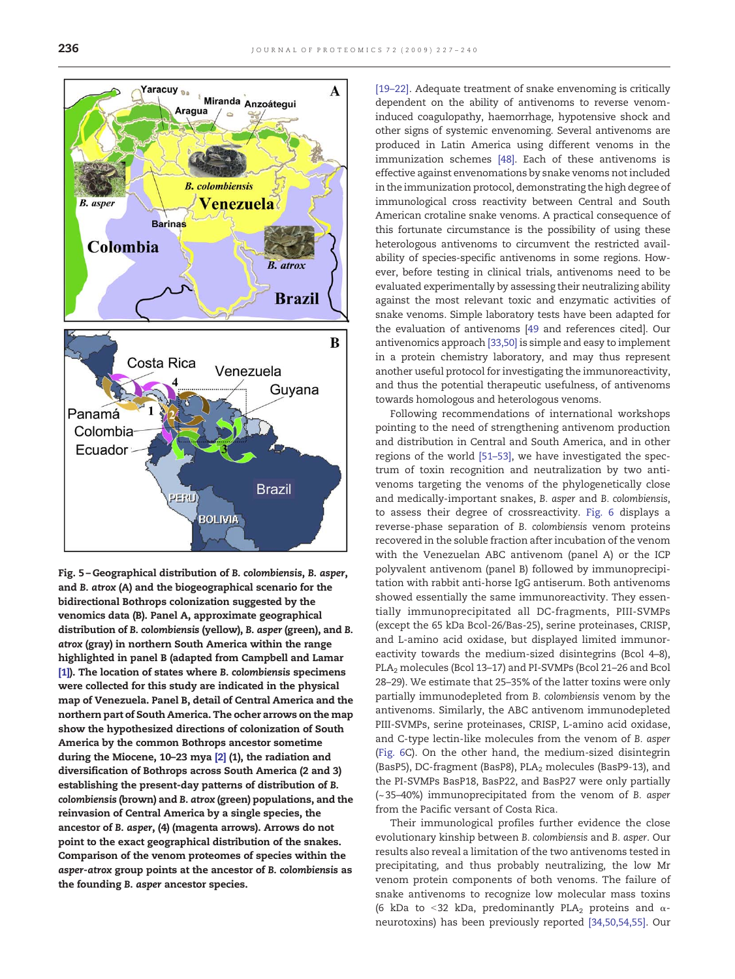<span id="page-9-0"></span>

Fig. 5 – Geographical distribution of B. colombiensis, B. asper, and B. atrox (A) and the biogeographical scenario for the bidirectional Bothrops colonization suggested by the venomics data (B). Panel A, approximate geographical distribution of B. colombiensis (yellow), B. asper (green), and B. atrox (gray) in northern South America within the range highlighted in panel B (adapted from Campbell and Lamar [\[1\]\)](#page-12-0). The location of states where B. colombiensis specimens were collected for this study are indicated in the physical map of Venezuela. Panel B, detail of Central America and the northern part of South America. The ocher arrows on the map show the hypothesized directions of colonization of South America by the common Bothrops ancestor sometime during the Miocene, 10–23 mya [\[2\]](#page-12-0) (1), the radiation and diversification of Bothrops across South America (2 and 3) establishing the present-day patterns of distribution of B. colombiensis (brown) and B. atrox (green) populations, and the reinvasion of Central America by a single species, the ancestor of B. asper, (4) (magenta arrows). Arrows do not point to the exact geographical distribution of the snakes. Comparison of the venom proteomes of species within the asper-atrox group points at the ancestor of B. colombiensis as the founding B. asper ancestor species.

[19–[22\].](#page-12-0) Adequate treatment of snake envenoming is critically dependent on the ability of antivenoms to reverse venominduced coagulopathy, haemorrhage, hypotensive shock and other signs of systemic envenoming. Several antivenoms are produced in Latin America using different venoms in the immunization schemes [\[48\]](#page-13-0). Each of these antivenoms is effective against envenomations by snake venoms not included in the immunization protocol, demonstrating the high degree of immunological cross reactivity between Central and South American crotaline snake venoms. A practical consequence of this fortunate circumstance is the possibility of using these heterologous antivenoms to circumvent the restricted availability of species-specific antivenoms in some regions. However, before testing in clinical trials, antivenoms need to be evaluated experimentally by assessing their neutralizing ability against the most relevant toxic and enzymatic activities of snake venoms. Simple laboratory tests have been adapted for the evaluation of antivenoms [\[49](#page-13-0) and references cited]. Our antivenomics approach [\[33,50\]](#page-12-0) is simple and easy to implement in a protein chemistry laboratory, and may thus represent another useful protocol for investigating the immunoreactivity, and thus the potential therapeutic usefulness, of antivenoms towards homologous and heterologous venoms.

Following recommendations of international workshops pointing to the need of strengthening antivenom production and distribution in Central and South America, and in other regions of the world [51–[53\],](#page-13-0) we have investigated the spectrum of toxin recognition and neutralization by two antivenoms targeting the venoms of the phylogenetically close and medically-important snakes, B. asper and B. colombiensis, to assess their degree of crossreactivity. [Fig. 6](#page-10-0) displays a reverse-phase separation of B. colombiensis venom proteins recovered in the soluble fraction after incubation of the venom with the Venezuelan ABC antivenom (panel A) or the ICP polyvalent antivenom (panel B) followed by immunoprecipitation with rabbit anti-horse IgG antiserum. Both antivenoms showed essentially the same immunoreactivity. They essentially immunoprecipitated all DC-fragments, PIII-SVMPs (except the 65 kDa Bcol-26/Bas-25), serine proteinases, CRISP, and L-amino acid oxidase, but displayed limited immunoreactivity towards the medium-sized disintegrins (Bcol 4–8), PLA2 molecules (Bcol 13–17) and PI-SVMPs (Bcol 21–26 and Bcol 28–29). We estimate that 25–35% of the latter toxins were only partially immunodepleted from B. colombiensis venom by the antivenoms. Similarly, the ABC antivenom immunodepleted PIII-SVMPs, serine proteinases, CRISP, L-amino acid oxidase, and C-type lectin-like molecules from the venom of B. asper ([Fig. 6](#page-10-0)C). On the other hand, the medium-sized disintegrin (BasP5), DC-fragment (BasP8), PLA<sub>2</sub> molecules (BasP9-13), and the PI-SVMPs BasP18, BasP22, and BasP27 were only partially (~35–40%) immunoprecipitated from the venom of B. asper from the Pacific versant of Costa Rica.

Their immunological profiles further evidence the close evolutionary kinship between B. colombiensis and B. asper. Our results also reveal a limitation of the two antivenoms tested in precipitating, and thus probably neutralizing, the low Mr venom protein components of both venoms. The failure of snake antivenoms to recognize low molecular mass toxins (6 kDa to <32 kDa, predominantly PLA<sub>2</sub> proteins and  $\alpha$ neurotoxins) has been previously reported [\[34,50,54,55\]](#page-12-0). Our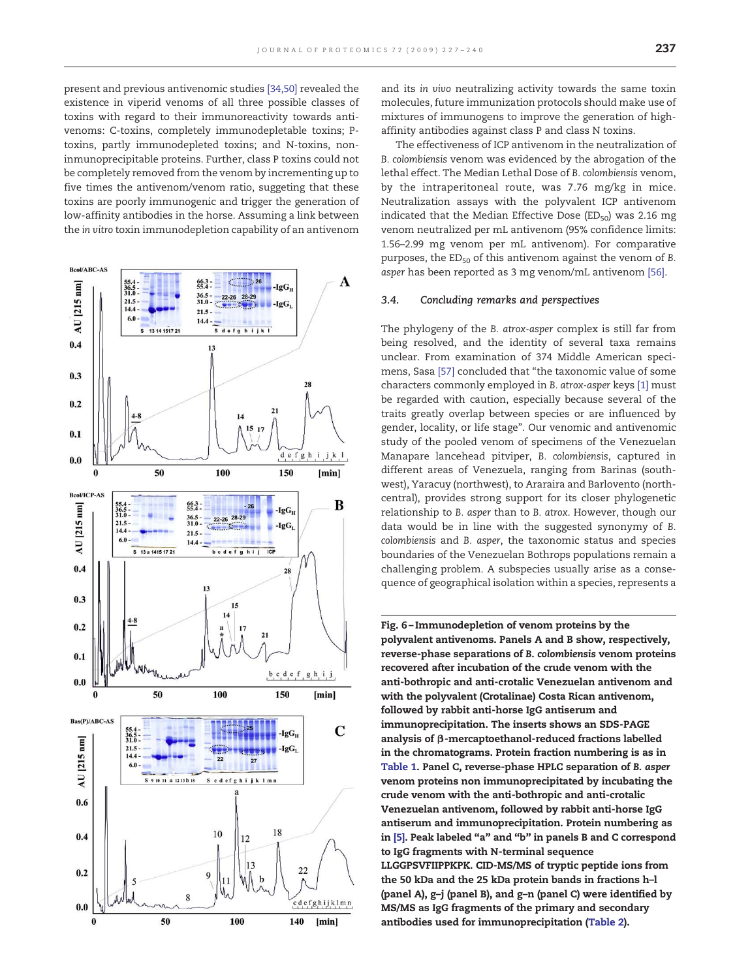<span id="page-10-0"></span>present and previous antivenomic studies [\[34,50\]](#page-12-0) revealed the existence in viperid venoms of all three possible classes of toxins with regard to their immunoreactivity towards antivenoms: C-toxins, completely immunodepletable toxins; Ptoxins, partly immunodepleted toxins; and N-toxins, noninmunoprecipitable proteins. Further, class P toxins could not be completely removed from the venom by incrementing up to five times the antivenom/venom ratio, suggeting that these toxins are poorly immunogenic and trigger the generation of low-affinity antibodies in the horse. Assuming a link between the in vitro toxin immunodepletion capability of an antivenom



and its in vivo neutralizing activity towards the same toxin molecules, future immunization protocols should make use of mixtures of immunogens to improve the generation of highaffinity antibodies against class P and class N toxins.

The effectiveness of ICP antivenom in the neutralization of B. colombiensis venom was evidenced by the abrogation of the lethal effect. The Median Lethal Dose of B. colombiensis venom, by the intraperitoneal route, was 7.76 mg/kg in mice. Neutralization assays with the polyvalent ICP antivenom indicated that the Median Effective Dose ( $ED_{50}$ ) was 2.16 mg venom neutralized per mL antivenom (95% confidence limits: 1.56–2.99 mg venom per mL antivenom). For comparative purposes, the  $ED_{50}$  of this antivenom against the venom of B. asper has been reported as 3 mg venom/mL antivenom [\[56\].](#page-13-0)

# 3.4. Concluding remarks and perspectives

The phylogeny of the B. atrox-asper complex is still far from being resolved, and the identity of several taxa remains unclear. From examination of 374 Middle American specimens, Sasa [\[57\]](#page-13-0) concluded that "the taxonomic value of some characters commonly employed in B. atrox-asper keys [\[1\]](#page-12-0) must be regarded with caution, especially because several of the traits greatly overlap between species or are influenced by gender, locality, or life stage". Our venomic and antivenomic study of the pooled venom of specimens of the Venezuelan Manapare lancehead pitviper, B. colombiensis, captured in different areas of Venezuela, ranging from Barinas (southwest), Yaracuy (northwest), to Araraira and Barlovento (northcentral), provides strong support for its closer phylogenetic relationship to B. asper than to B. atrox. However, though our data would be in line with the suggested synonymy of B. colombiensis and B. asper, the taxonomic status and species boundaries of the Venezuelan Bothrops populations remain a challenging problem. A subspecies usually arise as a consequence of geographical isolation within a species, represents a

Fig. 6 – Immunodepletion of venom proteins by the polyvalent antivenoms. Panels A and B show, respectively, reverse-phase separations of B. colombiensis venom proteins recovered after incubation of the crude venom with the anti-bothropic and anti-crotalic Venezuelan antivenom and with the polyvalent (Crotalinae) Costa Rican antivenom, followed by rabbit anti-horse IgG antiserum and immunoprecipitation. The inserts shows an SDS-PAGE analysis of β-mercaptoethanol-reduced fractions labelled in the chromatograms. Protein fraction numbering is as in [Table 1.](#page-5-0) Panel C, reverse-phase HPLC separation of B. asper venom proteins non immunoprecipitated by incubating the crude venom with the anti-bothropic and anti-crotalic Venezuelan antivenom, followed by rabbit anti-horse IgG antiserum and immunoprecipitation. Protein numbering as in [\[5\]](#page-12-0). Peak labeled "a" and "b" in panels B and C correspond to IgG fragments with N-terminal sequence LLGGPSVFIIPPKPK. CID-MS/MS of tryptic peptide ions from the 50 kDa and the 25 kDa protein bands in fractions h–l (panel A), g–j (panel B), and g–n (panel C) were identified by MS/MS as IgG fragments of the primary and secondary antibodies used for immunoprecipitation ([Table 2\)](#page-6-0).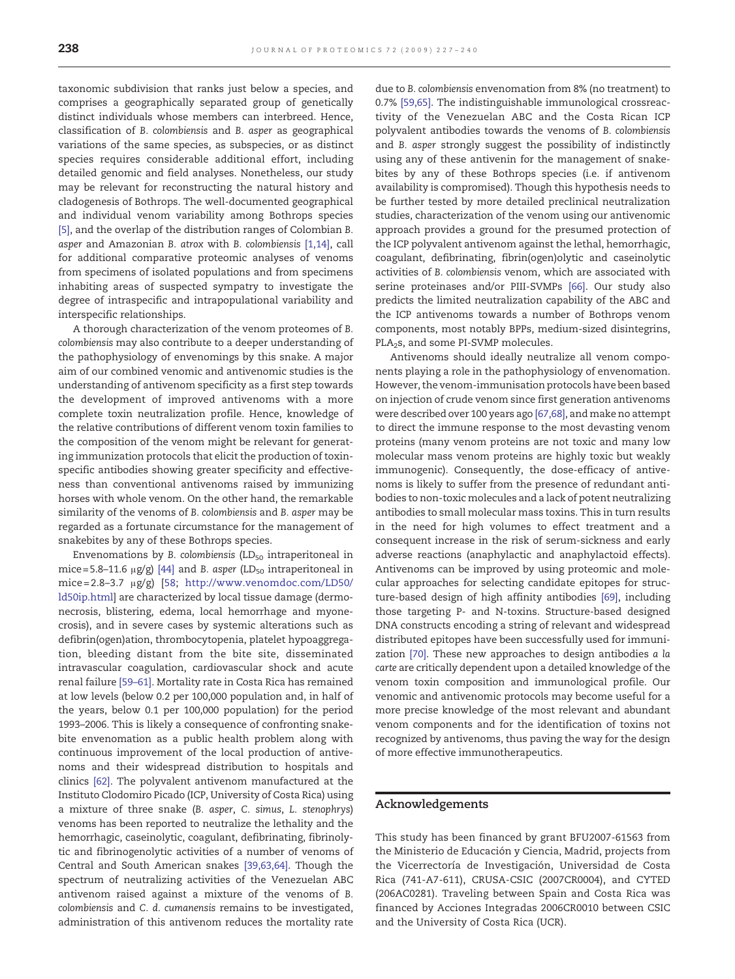taxonomic subdivision that ranks just below a species, and comprises a geographically separated group of genetically distinct individuals whose members can interbreed. Hence, classification of B. colombiensis and B. asper as geographical variations of the same species, as subspecies, or as distinct species requires considerable additional effort, including detailed genomic and field analyses. Nonetheless, our study may be relevant for reconstructing the natural history and cladogenesis of Bothrops. The well-documented geographical and individual venom variability among Bothrops species [\[5\],](#page-12-0) and the overlap of the distribution ranges of Colombian B. asper and Amazonian B. atrox with B. colombiensis [\[1,14\]](#page-12-0), call for additional comparative proteomic analyses of venoms from specimens of isolated populations and from specimens inhabiting areas of suspected sympatry to investigate the degree of intraspecific and intrapopulational variability and interspecific relationships.

A thorough characterization of the venom proteomes of B. colombiensis may also contribute to a deeper understanding of the pathophysiology of envenomings by this snake. A major aim of our combined venomic and antivenomic studies is the understanding of antivenom specificity as a first step towards the development of improved antivenoms with a more complete toxin neutralization profile. Hence, knowledge of the relative contributions of different venom toxin families to the composition of the venom might be relevant for generating immunization protocols that elicit the production of toxinspecific antibodies showing greater specificity and effectiveness than conventional antivenoms raised by immunizing horses with whole venom. On the other hand, the remarkable similarity of the venoms of B. colombiensis and B. asper may be regarded as a fortunate circumstance for the management of snakebites by any of these Bothrops species.

Envenomations by B. colombiensis  $(LD_{50}$  intraperitoneal in mice= 5.8–11.6  $\mu$ g/g) [\[44\]](#page-13-0) and B. asper (LD<sub>50</sub> intraperitoneal in mice = 2.8–3.7 μg/g) [\[58](#page-13-0); [http://www.venomdoc.com/LD50/](http://www.venomdoc.com/LD50/ld50ip.html) [ld50ip.html\]](http://www.venomdoc.com/LD50/ld50ip.html) are characterized by local tissue damage (dermonecrosis, blistering, edema, local hemorrhage and myonecrosis), and in severe cases by systemic alterations such as defibrin(ogen)ation, thrombocytopenia, platelet hypoaggregation, bleeding distant from the bite site, disseminated intravascular coagulation, cardiovascular shock and acute renal failure [59–[61\].](#page-13-0) Mortality rate in Costa Rica has remained at low levels (below 0.2 per 100,000 population and, in half of the years, below 0.1 per 100,000 population) for the period 1993–2006. This is likely a consequence of confronting snakebite envenomation as a public health problem along with continuous improvement of the local production of antivenoms and their widespread distribution to hospitals and clinics [\[62\]](#page-13-0). The polyvalent antivenom manufactured at the Instituto Clodomiro Picado (ICP, University of Costa Rica) using a mixture of three snake (B. asper, C. simus, L. stenophrys) venoms has been reported to neutralize the lethality and the hemorrhagic, caseinolytic, coagulant, defibrinating, fibrinolytic and fibrinogenolytic activities of a number of venoms of Central and South American snakes [\[39,63,64\]](#page-12-0). Though the spectrum of neutralizing activities of the Venezuelan ABC antivenom raised against a mixture of the venoms of B. colombiensis and C. d. cumanensis remains to be investigated, administration of this antivenom reduces the mortality rate

due to B. colombiensis envenomation from 8% (no treatment) to 0.7% [\[59,65\]](#page-13-0). The indistinguishable immunological crossreactivity of the Venezuelan ABC and the Costa Rican ICP polyvalent antibodies towards the venoms of B. colombiensis and B. asper strongly suggest the possibility of indistinctly using any of these antivenin for the management of snakebites by any of these Bothrops species (i.e. if antivenom availability is compromised). Though this hypothesis needs to be further tested by more detailed preclinical neutralization studies, characterization of the venom using our antivenomic approach provides a ground for the presumed protection of the ICP polyvalent antivenom against the lethal, hemorrhagic, coagulant, defibrinating, fibrin(ogen)olytic and caseinolytic activities of B. colombiensis venom, which are associated with serine proteinases and/or PIII-SVMPs [\[66\].](#page-13-0) Our study also predicts the limited neutralization capability of the ABC and the ICP antivenoms towards a number of Bothrops venom components, most notably BPPs, medium-sized disintegrins, PLA<sub>2</sub>s, and some PI-SVMP molecules.

Antivenoms should ideally neutralize all venom components playing a role in the pathophysiology of envenomation. However, the venom-immunisation protocols have been based on injection of crude venom since first generation antivenoms were described over 100 years ago [\[67,68\]](#page-13-0), and make no attempt to direct the immune response to the most devasting venom proteins (many venom proteins are not toxic and many low molecular mass venom proteins are highly toxic but weakly immunogenic). Consequently, the dose-efficacy of antivenoms is likely to suffer from the presence of redundant antibodies to non-toxic molecules and a lack of potent neutralizing antibodies to small molecular mass toxins. This in turn results in the need for high volumes to effect treatment and a consequent increase in the risk of serum-sickness and early adverse reactions (anaphylactic and anaphylactoid effects). Antivenoms can be improved by using proteomic and molecular approaches for selecting candidate epitopes for structure-based design of high affinity antibodies [\[69\],](#page-13-0) including those targeting P- and N-toxins. Structure-based designed DNA constructs encoding a string of relevant and widespread distributed epitopes have been successfully used for immunization [\[70\].](#page-13-0) These new approaches to design antibodies a la carte are critically dependent upon a detailed knowledge of the venom toxin composition and immunological profile. Our venomic and antivenomic protocols may become useful for a more precise knowledge of the most relevant and abundant venom components and for the identification of toxins not recognized by antivenoms, thus paving the way for the design of more effective immunotherapeutics.

# Acknowledgements

This study has been financed by grant BFU2007-61563 from the Ministerio de Educación y Ciencia, Madrid, projects from the Vicerrectoría de Investigación, Universidad de Costa Rica (741-A7-611), CRUSA-CSIC (2007CR0004), and CYTED (206AC0281). Traveling between Spain and Costa Rica was financed by Acciones Integradas 2006CR0010 between CSIC and the University of Costa Rica (UCR).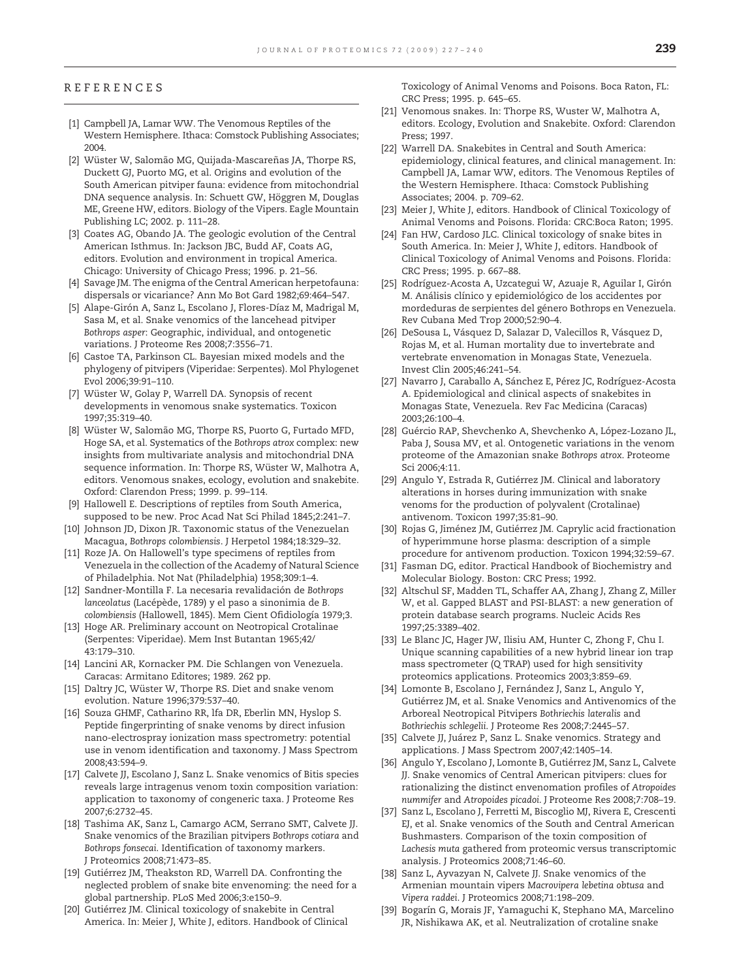# <span id="page-12-0"></span>REFERENCES

- [1] Campbell JA, Lamar WW. The Venomous Reptiles of the Western Hemisphere. Ithaca: Comstock Publishing Associates; 2004.
- [2] Wüster W, Salomão MG, Quijada-Mascareñas JA, Thorpe RS, Duckett GJ, Puorto MG, et al. Origins and evolution of the South American pitviper fauna: evidence from mitochondrial DNA sequence analysis. In: Schuett GW, Höggren M, Douglas ME, Greene HW, editors. Biology of the Vipers. Eagle Mountain Publishing LC; 2002. p. 111–28.
- [3] Coates AG, Obando JA. The geologic evolution of the Central American Isthmus. In: Jackson JBC, Budd AF, Coats AG, editors. Evolution and environment in tropical America. Chicago: University of Chicago Press; 1996. p. 21–56.
- [4] Savage JM. The enigma of the Central American herpetofauna: dispersals or vicariance? Ann Mo Bot Gard 1982;69:464–547.
- [5] Alape-Girón A, Sanz L, Escolano J, Flores-Díaz M, Madrigal M, Sasa M, et al. Snake venomics of the lancehead pitviper Bothrops asper: Geographic, individual, and ontogenetic variations. J Proteome Res 2008;7:3556–71.
- [6] Castoe TA, Parkinson CL. Bayesian mixed models and the phylogeny of pitvipers (Viperidae: Serpentes). Mol Phylogenet Evol 2006;39:91–110.
- [7] Wüster W, Golay P, Warrell DA. Synopsis of recent developments in venomous snake systematics. Toxicon 1997;35:319–40.
- [8] Wüster W, Salomão MG, Thorpe RS, Puorto G, Furtado MFD, Hoge SA, et al. Systematics of the Bothrops atrox complex: new insights from multivariate analysis and mitochondrial DNA sequence information. In: Thorpe RS, Wüster W, Malhotra A, editors. Venomous snakes, ecology, evolution and snakebite. Oxford: Clarendon Press; 1999. p. 99–114.
- [9] Hallowell E. Descriptions of reptiles from South America, supposed to be new. Proc Acad Nat Sci Philad 1845;2:241–7.
- [10] Johnson JD, Dixon JR. Taxonomic status of the Venezuelan Macagua, Bothrops colombiensis. J Herpetol 1984;18:329–32.
- [11] Roze JA. On Hallowell's type specimens of reptiles from Venezuela in the collection of the Academy of Natural Science of Philadelphia. Not Nat (Philadelphia) 1958;309:1–4.
- [12] Sandner-Montilla F. La necesaria revalidación de Bothrops lanceolatus (Lacépède, 1789) y el paso a sinonimia de B. colombiensis (Hallowell, 1845). Mem Cient Ofidiología 1979;3.
- [13] Hoge AR. Preliminary account on Neotropical Crotalinae (Serpentes: Viperidae). Mem Inst Butantan 1965;42/ 43:179–310.
- [14] Lancini AR, Kornacker PM. Die Schlangen von Venezuela. Caracas: Armitano Editores; 1989. 262 pp.
- [15] Daltry JC, Wüster W, Thorpe RS. Diet and snake venom evolution. Nature 1996;379:537–40.
- [16] Souza GHMF, Catharino RR, lfa DR, Eberlin MN, Hyslop S. Peptide fingerprinting of snake venoms by direct infusion nano-electrospray ionization mass spectrometry: potential use in venom identification and taxonomy. J Mass Spectrom 2008;43:594–9.
- [17] Calvete JJ, Escolano J, Sanz L. Snake venomics of Bitis species reveals large intragenus venom toxin composition variation: application to taxonomy of congeneric taxa. J Proteome Res 2007;6:2732–45.
- [18] Tashima AK, Sanz L, Camargo ACM, Serrano SMT, Calvete JJ. Snake venomics of the Brazilian pitvipers Bothrops cotiara and Bothrops fonsecai. Identification of taxonomy markers. J Proteomics 2008;71:473–85.
- [19] Gutiérrez JM, Theakston RD, Warrell DA. Confronting the neglected problem of snake bite envenoming: the need for a global partnership. PLoS Med 2006;3:e150–9.
- [20] Gutiérrez JM. Clinical toxicology of snakebite in Central America. In: Meier J, White J, editors. Handbook of Clinical

Toxicology of Animal Venoms and Poisons. Boca Raton, FL: CRC Press; 1995. p. 645–65.

- [21] Venomous snakes. In: Thorpe RS, Wuster W, Malhotra A, editors. Ecology, Evolution and Snakebite. Oxford: Clarendon Press; 1997.
- [22] Warrell DA. Snakebites in Central and South America: epidemiology, clinical features, and clinical management. In: Campbell JA, Lamar WW, editors. The Venomous Reptiles of the Western Hemisphere. Ithaca: Comstock Publishing Associates; 2004. p. 709–62.
- [23] Meier J, White J, editors. Handbook of Clinical Toxicology of Animal Venoms and Poisons. Florida: CRC:Boca Raton; 1995.
- [24] Fan HW, Cardoso JLC. Clinical toxicology of snake bites in South America. In: Meier J, White J, editors. Handbook of Clinical Toxicology of Animal Venoms and Poisons. Florida: CRC Press; 1995. p. 667–88.
- [25] Rodríguez-Acosta A, Uzcategui W, Azuaje R, Aguilar I, Girón M. Análisis clínico y epidemiológico de los accidentes por mordeduras de serpientes del género Bothrops en Venezuela. Rev Cubana Med Trop 2000;52:90–4.
- [26] DeSousa L, Vásquez D, Salazar D, Valecillos R, Vásquez D, Rojas M, et al. Human mortality due to invertebrate and vertebrate envenomation in Monagas State, Venezuela. Invest Clin 2005;46:241–54.
- [27] Navarro J, Caraballo A, Sánchez E, Pérez JC, Rodríguez-Acosta A. Epidemiological and clinical aspects of snakebites in Monagas State, Venezuela. Rev Fac Medicina (Caracas) 2003;26:100–4.
- [28] Guércio RAP, Shevchenko A, Shevchenko A, López-Lozano JL, Paba J, Sousa MV, et al. Ontogenetic variations in the venom proteome of the Amazonian snake Bothrops atrox. Proteome Sci 2006;4:11.
- [29] Angulo Y, Estrada R, Gutiérrez JM. Clinical and laboratory alterations in horses during immunization with snake venoms for the production of polyvalent (Crotalinae) antivenom. Toxicon 1997;35:81–90.
- [30] Rojas G, Jiménez JM, Gutiérrez JM. Caprylic acid fractionation of hyperimmune horse plasma: description of a simple procedure for antivenom production. Toxicon 1994;32:59–67.
- [31] Fasman DG, editor. Practical Handbook of Biochemistry and Molecular Biology. Boston: CRC Press; 1992.
- [32] Altschul SF, Madden TL, Schaffer AA, Zhang J, Zhang Z, Miller W, et al. Gapped BLAST and PSI-BLAST: a new generation of protein database search programs. Nucleic Acids Res 1997;25:3389–402.
- [33] Le Blanc JC, Hager JW, Ilisiu AM, Hunter C, Zhong F, Chu I. Unique scanning capabilities of a new hybrid linear ion trap mass spectrometer (Q TRAP) used for high sensitivity proteomics applications. Proteomics 2003;3:859–69.
- [34] Lomonte B, Escolano J, Fernández J, Sanz L, Angulo Y, Gutiérrez JM, et al. Snake Venomics and Antivenomics of the Arboreal Neotropical Pitvipers Bothriechis lateralis and Bothriechis schlegelii. J Proteome Res 2008;7:2445–57.
- [35] Calvete JJ, Juárez P, Sanz L. Snake venomics. Strategy and applications. J Mass Spectrom 2007;42:1405–14.
- [36] Angulo Y, Escolano J, Lomonte B, Gutiérrez JM, Sanz L, Calvete JJ. Snake venomics of Central American pitvipers: clues for rationalizing the distinct envenomation profiles of Atropoides nummifer and Atropoides picadoi. J Proteome Res 2008;7:708–19.
- [37] Sanz L, Escolano J, Ferretti M, Biscoglio MJ, Rivera E, Crescenti EJ, et al. Snake venomics of the South and Central American Bushmasters. Comparison of the toxin composition of Lachesis muta gathered from proteomic versus transcriptomic analysis. J Proteomics 2008;71:46–60.
- [38] Sanz L, Ayvazyan N, Calvete JJ. Snake venomics of the Armenian mountain vipers Macrovipera lebetina obtusa and Vipera raddei. J Proteomics 2008;71:198–209.
- [39] Bogarín G, Morais JF, Yamaguchi K, Stephano MA, Marcelino JR, Nishikawa AK, et al. Neutralization of crotaline snake